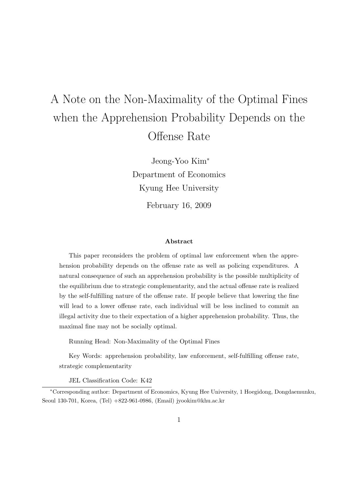# A Note on the Non-Maximality of the Optimal Fines when the Apprehension Probability Depends on the Offense Rate

Jeong-Yoo Kim<sup>∗</sup> Department of Economics Kyung Hee University

February 16, 2009

#### Abstract

This paper reconsiders the problem of optimal law enforcement when the apprehension probability depends on the offense rate as well as policing expenditures. A natural consequence of such an apprehension probability is the possible multiplicity of the equilibrium due to strategic complementarity, and the actual offense rate is realized by the self-fulfilling nature of the offense rate. If people believe that lowering the fine will lead to a lower offense rate, each individual will be less inclined to commit an illegal activity due to their expectation of a higher apprehension probability. Thus, the maximal fine may not be socially optimal.

Running Head: Non-Maximality of the Optimal Fines

Key Words: apprehension probability, law enforcement, self-fulfilling offense rate, strategic complementarity

JEL Classification Code: K42

<sup>∗</sup>Corresponding author: Department of Economics, Kyung Hee University, 1 Hoegidong, Dongdaemunku, Seoul 130-701, Korea, (Tel) +822-961-0986, (Email) jyookim@khu.ac.kr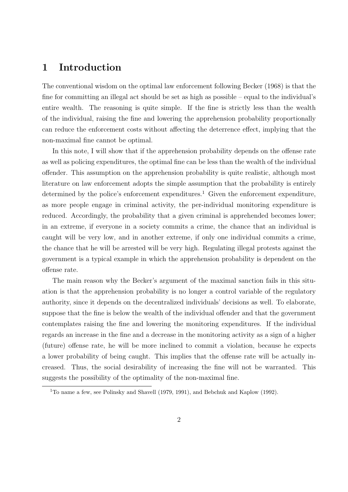#### 1 Introduction

The conventional wisdom on the optimal law enforcement following Becker (1968) is that the fine for committing an illegal act should be set as high as possible – equal to the individual's entire wealth. The reasoning is quite simple. If the fine is strictly less than the wealth of the individual, raising the fine and lowering the apprehension probability proportionally can reduce the enforcement costs without affecting the deterrence effect, implying that the non-maximal fine cannot be optimal.

In this note, I will show that if the apprehension probability depends on the offense rate as well as policing expenditures, the optimal fine can be less than the wealth of the individual offender. This assumption on the apprehension probability is quite realistic, although most literature on law enforcement adopts the simple assumption that the probability is entirely determined by the police's enforcement expenditures.<sup>1</sup> Given the enforcement expenditure, as more people engage in criminal activity, the per-individual monitoring expenditure is reduced. Accordingly, the probability that a given criminal is apprehended becomes lower; in an extreme, if everyone in a society commits a crime, the chance that an individual is caught will be very low, and in another extreme, if only one individual commits a crime, the chance that he will be arrested will be very high. Regulating illegal protests against the government is a typical example in which the apprehension probability is dependent on the offense rate.

The main reason why the Becker's argument of the maximal sanction fails in this situation is that the apprehension probability is no longer a control variable of the regulatory authority, since it depends on the decentralized individuals' decisions as well. To elaborate, suppose that the fine is below the wealth of the individual offender and that the government contemplates raising the fine and lowering the monitoring expenditures. If the individual regards an increase in the fine and a decrease in the monitoring activity as a sign of a higher (future) offense rate, he will be more inclined to commit a violation, because he expects a lower probability of being caught. This implies that the offense rate will be actually increased. Thus, the social desirability of increasing the fine will not be warranted. This suggests the possibility of the optimality of the non-maximal fine.

<sup>&</sup>lt;sup>1</sup>To name a few, see Polinsky and Shavell (1979, 1991), and Bebchuk and Kaplow (1992).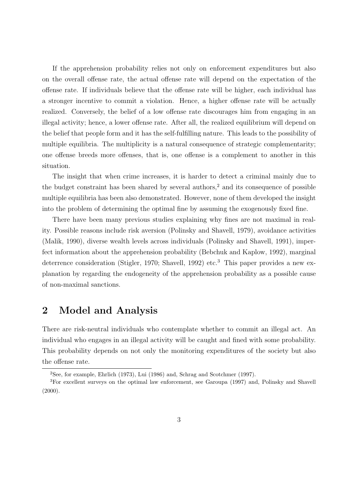If the apprehension probability relies not only on enforcement expenditures but also on the overall offense rate, the actual offense rate will depend on the expectation of the offense rate. If individuals believe that the offense rate will be higher, each individual has a stronger incentive to commit a violation. Hence, a higher offense rate will be actually realized. Conversely, the belief of a low offense rate discourages him from engaging in an illegal activity; hence, a lower offense rate. After all, the realized equilibrium will depend on the belief that people form and it has the self-fulfilling nature. This leads to the possibility of multiple equilibria. The multiplicity is a natural consequence of strategic complementarity; one offense breeds more offenses, that is, one offense is a complement to another in this situation.

The insight that when crime increases, it is harder to detect a criminal mainly due to the budget constraint has been shared by several authors, $<sup>2</sup>$  and its consequence of possible</sup> multiple equilibria has been also demonstrated. However, none of them developed the insight into the problem of determining the optimal fine by assuming the exogenously fixed fine.

There have been many previous studies explaining why fines are not maximal in reality. Possible reasons include risk aversion (Polinsky and Shavell, 1979), avoidance activities (Malik, 1990), diverse wealth levels across individuals (Polinsky and Shavell, 1991), imperfect information about the apprehension probability (Bebchuk and Kaplow, 1992), marginal deterrence consideration (Stigler, 1970; Shavell, 1992) etc.<sup>3</sup> This paper provides a new explanation by regarding the endogeneity of the apprehension probability as a possible cause of non-maximal sanctions.

## 2 Model and Analysis

There are risk-neutral individuals who contemplate whether to commit an illegal act. An individual who engages in an illegal activity will be caught and fined with some probability. This probability depends on not only the monitoring expenditures of the society but also the offense rate.

<sup>&</sup>lt;sup>2</sup>See, for example, Ehrlich  $(1973)$ , Lui  $(1986)$  and, Schrag and Scotchmer  $(1997)$ .

<sup>3</sup>For excellent surveys on the optimal law enforcement, see Garoupa (1997) and, Polinsky and Shavell  $(2000).$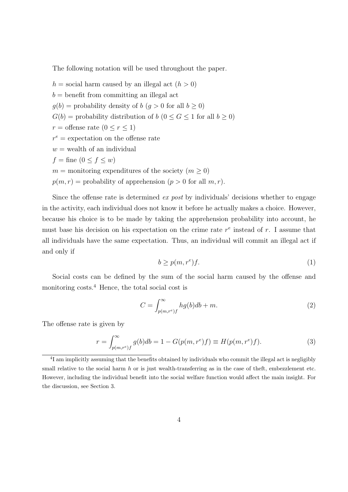The following notation will be used throughout the paper.

 $h =$  social harm caused by an illegal act  $(h > 0)$  $b = \text{ benefit from committing an illegal act}$  $g(b)$  = probability density of b  $(g > 0$  for all  $b \ge 0$ )  $G(b)$  = probability distribution of  $b$  ( $0 \le G \le 1$  for all  $b \ge 0$ )  $r =$  offense rate  $(0 \le r \le 1)$  $r^e$  = expectation on the offense rate  $w =$  wealth of an individual  $f =$  fine  $(0 \le f \le w)$  $m =$  monitoring expenditures of the society  $(m \geq 0)$  $p(m, r)$  = probability of apprehension  $(p > 0$  for all  $m, r$ ).

Since the offense rate is determined  $ex$  post by individuals' decisions whether to engage in the activity, each individual does not know it before he actually makes a choice. However, because his choice is to be made by taking the apprehension probability into account, he must base his decision on his expectation on the crime rate  $r^e$  instead of r. I assume that all individuals have the same expectation. Thus, an individual will commit an illegal act if and only if

$$
b \ge p(m, r^e)f. \tag{1}
$$

Social costs can be defined by the sum of the social harm caused by the offense and monitoring costs.<sup>4</sup> Hence, the total social cost is

$$
C = \int_{p(m,r^e)f}^{\infty} hg(b)db + m.
$$
 (2)

The offense rate is given by

$$
r = \int_{p(m,r^e)f}^{\infty} g(b)db = 1 - G(p(m,r^e)f) \equiv H(p(m,r^e)f).
$$
 (3)

<sup>&</sup>lt;sup>4</sup>I am implicitly assuming that the benefits obtained by individuals who commit the illegal act is negligibly small relative to the social harm  $h$  or is just wealth-transferring as in the case of theft, embezzlement etc. However, including the individual benefit into the social welfare function would affect the main insight. For the discussion, see Section 3.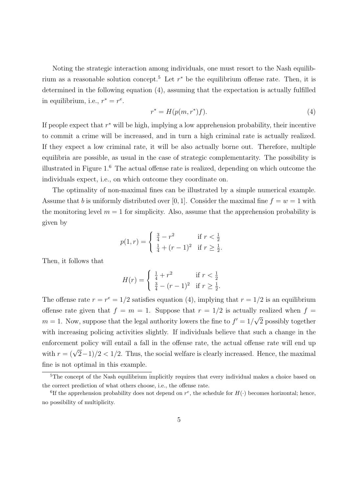Noting the strategic interaction among individuals, one must resort to the Nash equilibrium as a reasonable solution concept.<sup>5</sup> Let  $r^*$  be the equilibrium offense rate. Then, it is determined in the following equation (4), assuming that the expectation is actually fulfilled in equilibrium, i.e.,  $r^* = r^e$ .

$$
r^* = H(p(m, r^*)f). \tag{4}
$$

If people expect that  $r^*$  will be high, implying a low apprehension probability, their incentive to commit a crime will be increased, and in turn a high criminal rate is actually realized. If they expect a low criminal rate, it will be also actually borne out. Therefore, multiple equilibria are possible, as usual in the case of strategic complementarity. The possibility is illustrated in Figure 1.<sup>6</sup> The actual offense rate is realized, depending on which outcome the individuals expect, i.e., on which outcome they coordinate on.

The optimality of non-maximal fines can be illustrated by a simple numerical example. Assume that b is uniformly distributed over [0, 1]. Consider the maximal fine  $f = w = 1$  with the monitoring level  $m = 1$  for simplicity. Also, assume that the apprehension probability is given by

$$
p(1,r) = \begin{cases} \frac{3}{4} - r^2 & \text{if } r < \frac{1}{2} \\ \frac{1}{4} + (r-1)^2 & \text{if } r \ge \frac{1}{2}. \end{cases}
$$

Then, it follows that

$$
H(r) = \begin{cases} \frac{1}{4} + r^2 & \text{if } r < \frac{1}{2} \\ \frac{3}{4} - (r - 1)^2 & \text{if } r \ge \frac{1}{2}. \end{cases}
$$

The offense rate  $r = r^e = 1/2$  satisfies equation (4), implying that  $r = 1/2$  is an equilibrium offense rate given that  $f = m = 1$ . Suppose that  $r = 1/2$  is actually realized when  $f =$  $m = 1$ . Now, suppose that the legal authority lowers the fine to  $f' = 1/$ √ 2 possibly together with increasing policing activities slightly. If individuals believe that such a change in the enforcement policy will entail a fall in the offense rate, the actual offense rate will end up with  $r = (\sqrt{2}-1)/2 < 1/2$ . Thus, the social welfare is clearly increased. Hence, the maximal fine is not optimal in this example.

 $5$ The concept of the Nash equilibrium implicitly requires that every individual makes a choice based on the correct prediction of what others choose, i.e., the offense rate.

<sup>&</sup>lt;sup>6</sup>If the apprehension probability does not depend on  $r^e$ , the schedule for  $H(\cdot)$  becomes horizontal; hence, no possibility of multiplicity.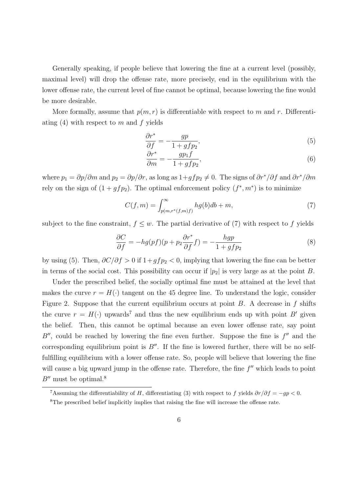Generally speaking, if people believe that lowering the fine at a current level (possibly, maximal level) will drop the offense rate, more precisely, end in the equilibrium with the lower offense rate, the current level of fine cannot be optimal, because lowering the fine would be more desirable.

More formally, assume that  $p(m, r)$  is differentiable with respect to m and r. Differentiating  $(4)$  with respect to m and f yields

$$
\frac{\partial r^*}{\partial f} = -\frac{gp}{1 + gfp_2},\tag{5}
$$

$$
\frac{\partial r^*}{\partial m} = -\frac{gp_1 f}{1 + gf p_2},\tag{6}
$$

where  $p_1 = \partial p/\partial m$  and  $p_2 = \partial p/\partial r$ , as long as  $1+gfp_2 \neq 0$ . The signs of  $\partial r^*/\partial f$  and  $\partial r^*/\partial m$ rely on the sign of  $(1+gfp_2)$ . The optimal enforcement policy  $(f^*, m^*)$  is to minimize

$$
C(f,m) = \int_{p(m,r^*(f,m)f)}^{\infty} hg(b)db + m,
$$
\n(7)

subject to the fine constraint,  $f \leq w$ . The partial derivative of (7) with respect to f yields

$$
\frac{\partial C}{\partial f} = -hg(pf)(p + p_2 \frac{\partial r^*}{\partial f}f) = -\frac{hgp}{1 + gfp_2} \tag{8}
$$

by using (5). Then,  $\partial C/\partial f > 0$  if  $1+gfp_2 < 0$ , implying that lowering the fine can be better in terms of the social cost. This possibility can occur if  $|p_2|$  is very large as at the point B.

Under the prescribed belief, the socially optimal fine must be attained at the level that makes the curve  $r = H(\cdot)$  tangent on the 45 degree line. To understand the logic, consider Figure 2. Suppose that the current equilibrium occurs at point  $B$ . A decrease in  $f$  shifts the curve  $r = H(\cdot)$  upwards<sup>7</sup> and thus the new equilibrium ends up with point B' given the belief. Then, this cannot be optimal because an even lower offense rate, say point  $B''$ , could be reached by lowering the fine even further. Suppose the fine is  $f''$  and the corresponding equilibrium point is  $B''$ . If the fine is lowered further, there will be no selffulfilling equilibrium with a lower offense rate. So, people will believe that lowering the fine will cause a big upward jump in the offense rate. Therefore, the fine  $f''$  which leads to point  $B''$  must be optimal.<sup>8</sup>

<sup>&</sup>lt;sup>7</sup>Assuming the differentiability of H, differentiating (3) with respect to f yields  $\partial r/\partial f = -gp < 0$ . <sup>8</sup>The prescribed belief implicitly implies that raising the fine will increase the offense rate.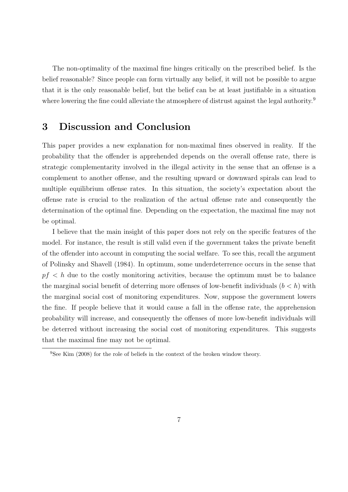The non-optimality of the maximal fine hinges critically on the prescribed belief. Is the belief reasonable? Since people can form virtually any belief, it will not be possible to argue that it is the only reasonable belief, but the belief can be at least justifiable in a situation where lowering the fine could alleviate the atmosphere of distrust against the legal authority.<sup>9</sup>

#### 3 Discussion and Conclusion

This paper provides a new explanation for non-maximal fines observed in reality. If the probability that the offender is apprehended depends on the overall offense rate, there is strategic complementarity involved in the illegal activity in the sense that an offense is a complement to another offense, and the resulting upward or downward spirals can lead to multiple equilibrium offense rates. In this situation, the society's expectation about the offense rate is crucial to the realization of the actual offense rate and consequently the determination of the optimal fine. Depending on the expectation, the maximal fine may not be optimal.

I believe that the main insight of this paper does not rely on the specific features of the model. For instance, the result is still valid even if the government takes the private benefit of the offender into account in computing the social welfare. To see this, recall the argument of Polinsky and Shavell (1984). In optimum, some underdeterrence occurs in the sense that  $pf < h$  due to the costly monitoring activities, because the optimum must be to balance the marginal social benefit of deterring more offenses of low-benefit individuals  $(b < h)$  with the marginal social cost of monitoring expenditures. Now, suppose the government lowers the fine. If people believe that it would cause a fall in the offense rate, the apprehension probability will increase, and consequently the offenses of more low-benefit individuals will be deterred without increasing the social cost of monitoring expenditures. This suggests that the maximal fine may not be optimal.

 $9$ See Kim (2008) for the role of beliefs in the context of the broken window theory.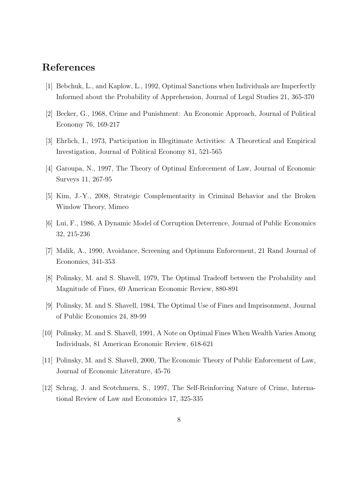## References

- [1] Bebchuk, L., and Kaplow, L., 1992, Optimal Sanctions when Individuals are Imperfectly Informed about the Probability of Apprehension, Journal of Legal Studies 21, 365-370
- [2] Becker, G., 1968, Crime and Punishment: An Economic Approach, Journal of Political Economy 76, 169-217
- [3] Ehrlich, I., 1973, Participation in Illegitimate Activities: A Theoretical and Empirical Investigation, Journal of Political Economy 81, 521-565
- [4] Garoupa, N., 1997, The Theory of Optimal Enforcement of Law, Journal of Economic Surveys 11, 267-95
- [5] Kim, J.-Y., 2008, Strategic Complementarity in Criminal Behavior and the Broken Window Theory, Mimeo
- [6] Lui, F., 1986, A Dynamic Model of Corruption Deterrence, Journal of Public Economics 32, 215-236
- [7] Malik, A., 1990, Avoidance, Screening and Optimum Enforcement, 21 Rand Journal of Economics, 341-353
- [8] Polinsky, M. and S. Shavell, 1979, The Optimal Tradeoff between the Probability and Magnitude of Fines, 69 American Economic Review, 880-891
- [9] Polinsky, M. and S. Shavell, 1984, The Optimal Use of Fines and Imprisonment, Journal of Public Economics 24, 89-99
- [10] Polinsky, M. and S. Shavell, 1991, A Note on Optimal Fines When Wealth Varies Among Individuals, 81 American Economic Review, 618-621
- [11] Polinsky, M. and S. Shavell, 2000, The Economic Theory of Public Enforcement of Law, Journal of Economic Literature, 45-76
- [12] Schrag, J. and Scotchmern, S., 1997, The Self-Reinforcing Nature of Crime, International Review of Law and Economics 17, 325-335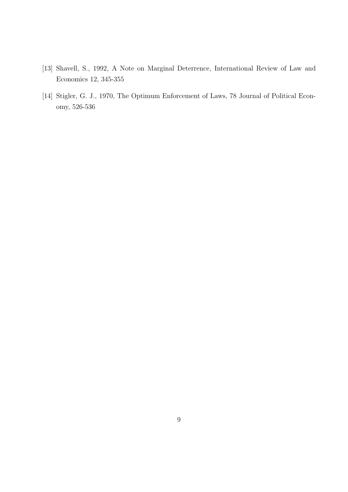- [13] Shavell, S., 1992, A Note on Marginal Deterrence, International Review of Law and Economics 12, 345-355
- [14] Stigler, G. J., 1970, The Optimum Enforcement of Laws, 78 Journal of Political Economy, 526-536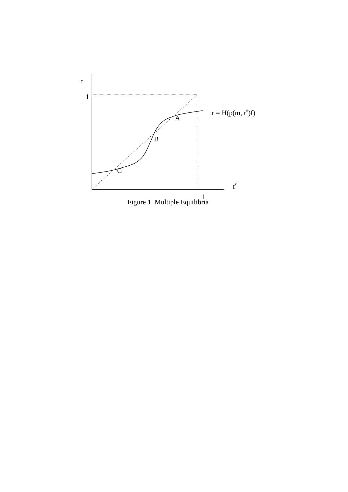